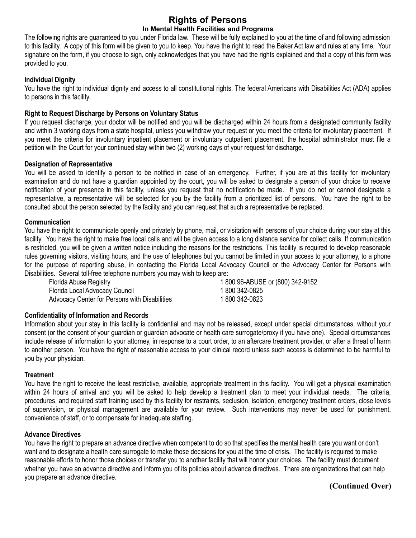# **Rights of Persons In Mental Health Facilities and Programs**

The following rights are guaranteed to you under Florida law. These will be fully explained to you at the time of and following admission to this facility. A copy of this form will be given to you to keep. You have the right to read the Baker Act law and rules at any time. Your signature on the form, if you choose to sign, only acknowledges that you have had the rights explained and that a copy of this form was provided to you.

## **Individual Dignity**

You have the right to individual dignity and access to all constitutional rights. The federal Americans with Disabilities Act (ADA) applies to persons in this facility.

## **Right to Request Discharge by Persons on Voluntary Status**

If you request discharge, your doctor will be notified and you will be discharged within 24 hours from a designated community facility and within 3 working days from a state hospital, unless you withdraw your request or you meet the criteria for involuntary placement. If you meet the criteria for involuntary inpatient placement or involuntary outpatient placement, the hospital administrator must file a petition with the Court for your continued stay within two (2) working days of your request for discharge.

## **Designation of Representative**

You will be asked to identify a person to be notified in case of an emergency. Further, if you are at this facility for involuntary examination and do not have a guardian appointed by the court, you will be asked to designate a person of your choice to receive notification of your presence in this facility, unless you request that no notification be made. If you do not or cannot designate a representative, a representative will be selected for you by the facility from a prioritized list of persons. You have the right to be consulted about the person selected by the facility and you can request that such a representative be replaced.

## **Communication**

You have the right to communicate openly and privately by phone, mail, or visitation with persons of your choice during your stay at this facility. You have the right to make free local calls and will be given access to a long distance service for collect calls. If communication is restricted, you will be given a written notice including the reasons for the restrictions. This facility is required to develop reasonable rules governing visitors, visiting hours, and the use of telephones but you cannot be limited in your access to your attorney, to a phone for the purpose of reporting abuse, in contacting the Florida Local Advocacy Council or the Advocacy Center for Persons with Disabilities. Several toll-free telephone numbers you may wish to keep are:

| Florida Abuse Registry                        | 1800 96-ABUSE or (800) 342-9152 |
|-----------------------------------------------|---------------------------------|
| Florida Local Advocacy Council                | 1 800 342-0825                  |
| Advocacy Center for Persons with Disabilities | 1800342-0823                    |

## **Confidentiality of Information and Records**

Information about your stay in this facility is confidential and may not be released, except under special circumstances, without your consent (or the consent of your guardian or guardian advocate or health care surrogate/proxy if you have one). Special circumstances include release of information to your attorney, in response to a court order, to an aftercare treatment provider, or after a threat of harm to another person. You have the right of reasonable access to your clinical record unless such access is determined to be harmful to you by your physician.

## **Treatment**

You have the right to receive the least restrictive, available, appropriate treatment in this facility. You will get a physical examination within 24 hours of arrival and you will be asked to help develop a treatment plan to meet your individual needs. The criteria, procedures, and required staff training used by this facility for restraints, seclusion, isolation, emergency treatment orders, close levels of supervision, or physical management are available for your review. Such interventions may never be used for punishment, convenience of staff, or to compensate for inadequate staffing.

## **Advance Directives**

You have the right to prepare an advance directive when competent to do so that specifies the mental health care you want or don't want and to designate a health care surrogate to make those decisions for you at the time of crisis. The facility is required to make reasonable efforts to honor those choices or transfer you to another facility that will honor your choices. The facility must document whether you have an advance directive and inform you of its policies about advance directives. There are organizations that can help you prepare an advance directive.

**(Continued Over)**